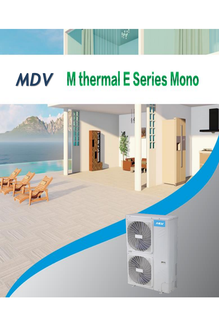# **MDV** M thermal E Series Mono